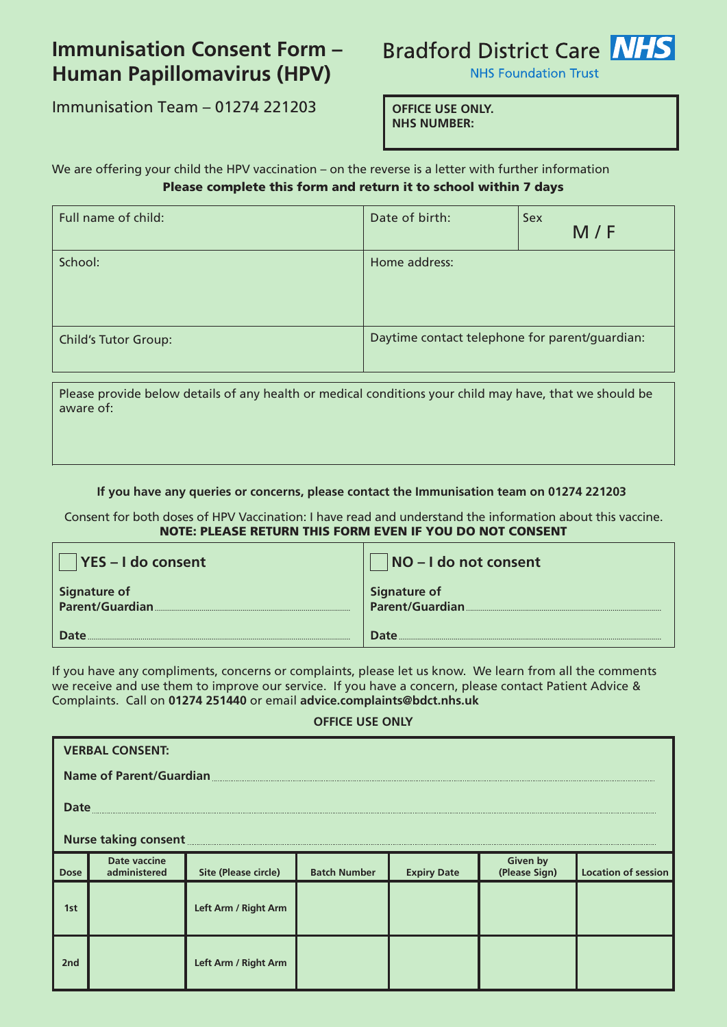# **Immunisation Consent Form – Human Papillomavirus (HPV)**

**Bradford District Care NHS** 

**NHS Foundation Trust** 

Immunisation Team – 01274 221203

**OFFICE USE ONLY. NHS NUMBER:**

## Please complete this form and return it to school within 7 days We are offering your child the HPV vaccination – on the reverse is a letter with further information

| Full name of child:         | Date of birth:                                 | Sex<br>M/F |  |
|-----------------------------|------------------------------------------------|------------|--|
| School:                     | Home address:                                  |            |  |
| <b>Child's Tutor Group:</b> | Daytime contact telephone for parent/guardian: |            |  |

Please provide below details of any health or medical conditions your child may have, that we should be aware of:

#### **If you have any queries or concerns, please contact the Immunisation team on 01274 221203**

Consent for both doses of HPV Vaccination: I have read and understand the information about this vaccine. NOTE: PLEASE RETURN THIS FORM EVEN IF YOU DO NOT CONSENT

| YES - I do consent                     | NO - I do not consent                   |
|----------------------------------------|-----------------------------------------|
| <b>Signature of</b><br>Parent/Guardian | <b>Signature of<br/>Parent/Guardian</b> |
| Date                                   | Date                                    |

If you have any compliments, concerns or complaints, please let us know. We learn from all the comments we receive and use them to improve our service. If you have a concern, please contact Patient Advice & Complaints. Call on **01274 251440** or email **advice.complaints@bdct.nhs.uk**

#### **OFFICE USE ONLY**

| <b>VERBAL CONSENT:</b>  |                                     |                             |                     |                    |                           |                            |  |  |  |
|-------------------------|-------------------------------------|-----------------------------|---------------------|--------------------|---------------------------|----------------------------|--|--|--|
| Name of Parent/Guardian |                                     |                             |                     |                    |                           |                            |  |  |  |
| <b>Date</b>             |                                     |                             |                     |                    |                           |                            |  |  |  |
| Nurse taking consent    |                                     |                             |                     |                    |                           |                            |  |  |  |
| <b>Dose</b>             | <b>Date vaccine</b><br>administered | <b>Site (Please circle)</b> | <b>Batch Number</b> | <b>Expiry Date</b> | Given by<br>(Please Sign) | <b>Location of session</b> |  |  |  |
| 1st                     |                                     | Left Arm / Right Arm        |                     |                    |                           |                            |  |  |  |
| 2 <sub>nd</sub>         |                                     | Left Arm / Right Arm        |                     |                    |                           |                            |  |  |  |